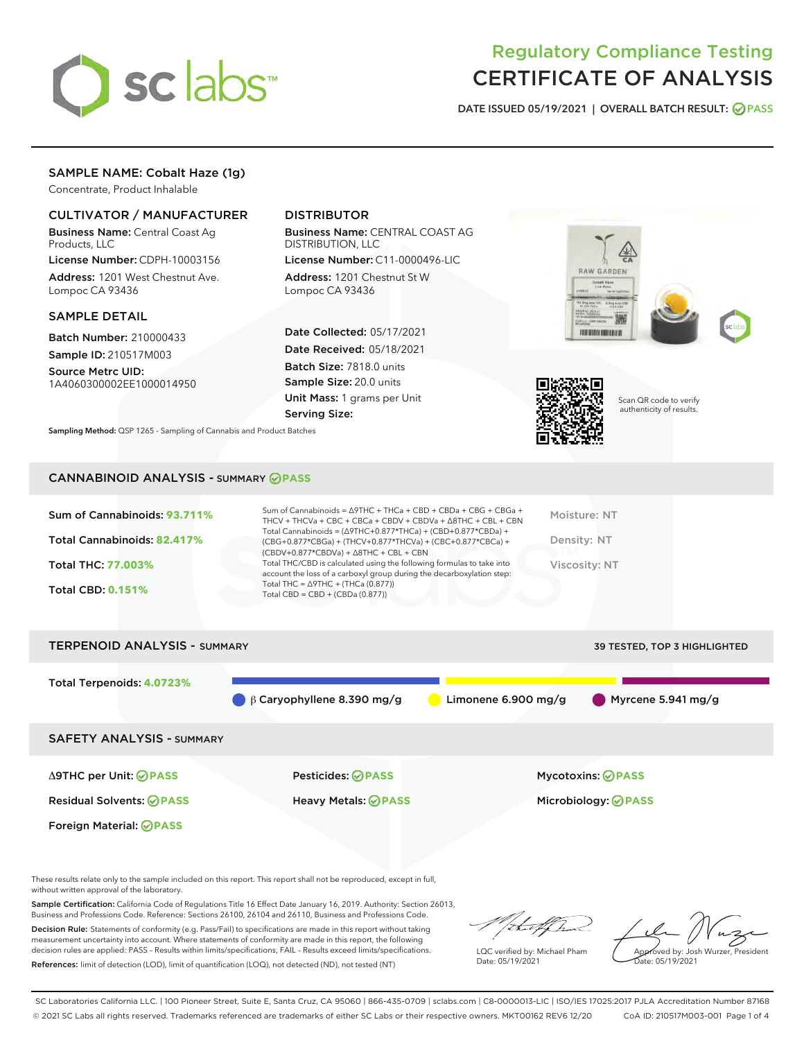

# Regulatory Compliance Testing CERTIFICATE OF ANALYSIS

DATE ISSUED 05/19/2021 | OVERALL BATCH RESULT: @ PASS

# SAMPLE NAME: Cobalt Haze (1g)

Concentrate, Product Inhalable

## CULTIVATOR / MANUFACTURER

Business Name: Central Coast Ag Products, LLC

License Number: CDPH-10003156 Address: 1201 West Chestnut Ave. Lompoc CA 93436

## SAMPLE DETAIL

Batch Number: 210000433 Sample ID: 210517M003

Source Metrc UID: 1A4060300002EE1000014950

# DISTRIBUTOR

Business Name: CENTRAL COAST AG DISTRIBUTION, LLC

License Number: C11-0000496-LIC Address: 1201 Chestnut St W Lompoc CA 93436

Date Collected: 05/17/2021 Date Received: 05/18/2021 Batch Size: 7818.0 units Sample Size: 20.0 units Unit Mass: 1 grams per Unit Serving Size:





Scan QR code to verify authenticity of results.

CANNABINOID ANALYSIS - SUMMARY **PASS**

Sampling Method: QSP 1265 - Sampling of Cannabis and Product Batches

| Sum of Cannabinoids: 93.711% | Sum of Cannabinoids = $\triangle$ 9THC + THCa + CBD + CBDa + CBG + CBGa +<br>THCV + THCVa + CBC + CBCa + CBDV + CBDVa + $\Delta$ 8THC + CBL + CBN                                    | Moisture: NT  |
|------------------------------|--------------------------------------------------------------------------------------------------------------------------------------------------------------------------------------|---------------|
| Total Cannabinoids: 82.417%  | Total Cannabinoids = $(\Delta$ 9THC+0.877*THCa) + (CBD+0.877*CBDa) +<br>(CBG+0.877*CBGa) + (THCV+0.877*THCVa) + (CBC+0.877*CBCa) +<br>$(CBDV+0.877*CBDVa) + \Delta 8THC + CBL + CBN$ | Density: NT   |
| <b>Total THC: 77.003%</b>    | Total THC/CBD is calculated using the following formulas to take into<br>account the loss of a carboxyl group during the decarboxylation step:                                       | Viscosity: NT |
| <b>Total CBD: 0.151%</b>     | Total THC = $\triangle$ 9THC + (THCa (0.877))<br>Total CBD = CBD + (CBDa $(0.877)$ )                                                                                                 |               |
|                              |                                                                                                                                                                                      |               |

TERPENOID ANALYSIS - SUMMARY 39 TESTED, TOP 3 HIGHLIGHTED, TOP 3 HIGHLIGHTED, TOP 3 HIGHLIGHTED, TOP 3 HIGHLIGHTED,

| I ERPENUID ANALTJIJ - SUMMART    | <b>39 I ESTED, TOP 3 HIGHLIGHTED</b> |                     |                                   |
|----------------------------------|--------------------------------------|---------------------|-----------------------------------|
| Total Terpenoids: 4.0723%        | $\beta$ Caryophyllene 8.390 mg/g     | Limonene 6.900 mg/g | $\blacksquare$ Myrcene 5.941 mg/g |
| <b>SAFETY ANALYSIS - SUMMARY</b> |                                      |                     |                                   |
| ∆9THC per Unit: ⊘PASS            | <b>Pesticides: ⊘PASS</b>             |                     | Mycotoxins: ⊘PASS                 |
| <b>Residual Solvents: ⊘PASS</b>  | <b>Heavy Metals: ⊘ PASS</b>          |                     | Microbiology: <b>⊘PASS</b>        |

Foreign Material: **PASS**

These results relate only to the sample included on this report. This report shall not be reproduced, except in full, without written approval of the laboratory.

Sample Certification: California Code of Regulations Title 16 Effect Date January 16, 2019. Authority: Section 26013, Business and Professions Code. Reference: Sections 26100, 26104 and 26110, Business and Professions Code.

Decision Rule: Statements of conformity (e.g. Pass/Fail) to specifications are made in this report without taking measurement uncertainty into account. Where statements of conformity are made in this report, the following decision rules are applied: PASS – Results within limits/specifications, FAIL – Results exceed limits/specifications. References: limit of detection (LOD), limit of quantification (LOQ), not detected (ND), not tested (NT)

that f h

LQC verified by: Michael Pham Date: 05/19/2021

Approved by: Josh Wurzer, President Date: 05/19/2021

SC Laboratories California LLC. | 100 Pioneer Street, Suite E, Santa Cruz, CA 95060 | 866-435-0709 | sclabs.com | C8-0000013-LIC | ISO/IES 17025:2017 PJLA Accreditation Number 87168 © 2021 SC Labs all rights reserved. Trademarks referenced are trademarks of either SC Labs or their respective owners. MKT00162 REV6 12/20 CoA ID: 210517M003-001 Page 1 of 4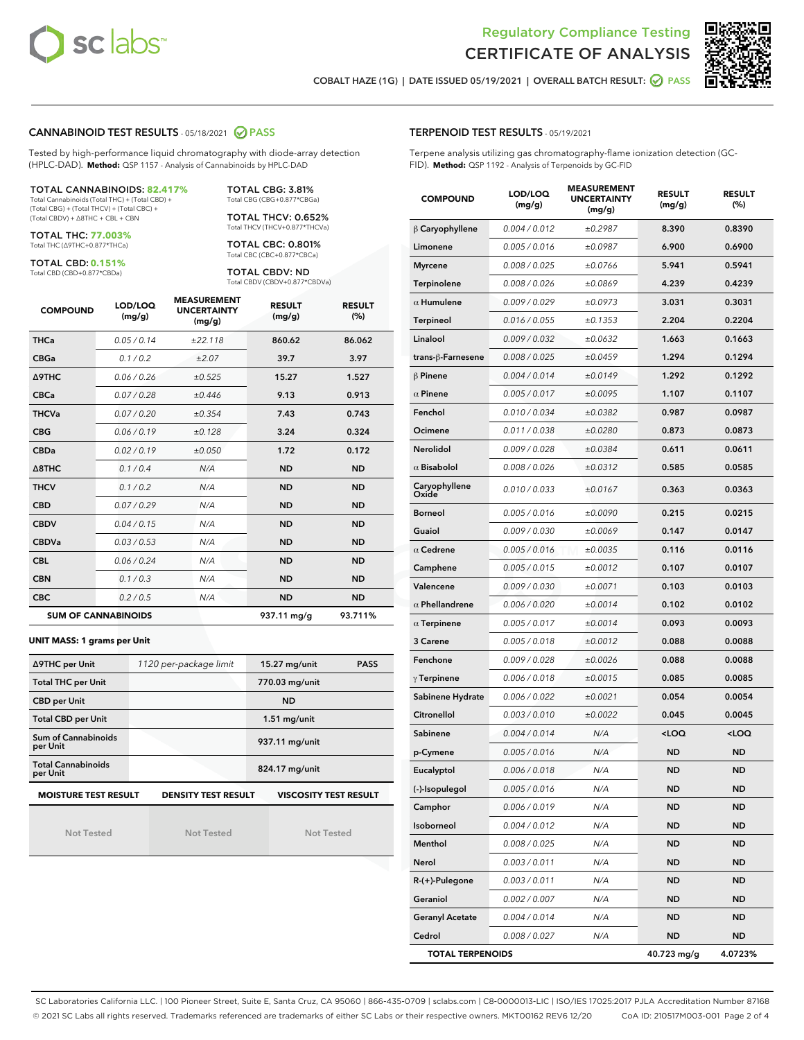



COBALT HAZE (1G) | DATE ISSUED 05/19/2021 | OVERALL BATCH RESULT: ◯ PASS

## CANNABINOID TEST RESULTS - 05/18/2021 2 PASS

Tested by high-performance liquid chromatography with diode-array detection (HPLC-DAD). **Method:** QSP 1157 - Analysis of Cannabinoids by HPLC-DAD

#### TOTAL CANNABINOIDS: **82.417%**

Total Cannabinoids (Total THC) + (Total CBD) + (Total CBG) + (Total THCV) + (Total CBC) + (Total CBDV) + ∆8THC + CBL + CBN

TOTAL THC: **77.003%** Total THC (∆9THC+0.877\*THCa)

TOTAL CBD: **0.151%**

Total CBD (CBD+0.877\*CBDa)

TOTAL CBG: 3.81% Total CBG (CBG+0.877\*CBGa)

TOTAL THCV: 0.652% Total THCV (THCV+0.877\*THCVa)

TOTAL CBC: 0.801% Total CBC (CBC+0.877\*CBCa)

TOTAL CBDV: ND Total CBDV (CBDV+0.877\*CBDVa)

| <b>COMPOUND</b> | LOD/LOQ<br>(mg/g)          | <b>MEASUREMENT</b><br><b>UNCERTAINTY</b><br>(mg/g) | <b>RESULT</b><br>(mg/g) | <b>RESULT</b><br>(%) |
|-----------------|----------------------------|----------------------------------------------------|-------------------------|----------------------|
| <b>THCa</b>     | 0.05/0.14                  | ±22.118                                            | 860.62                  | 86.062               |
| <b>CBGa</b>     | 0.1/0.2                    | ±2.07                                              | 39.7                    | 3.97                 |
| <b>A9THC</b>    | 0.06 / 0.26                | ±0.525                                             | 15.27                   | 1.527                |
| <b>CBCa</b>     | 0.07/0.28                  | ±0.446                                             | 9.13                    | 0.913                |
| <b>THCVa</b>    | 0.07/0.20                  | ±0.354                                             | 7.43                    | 0.743                |
| <b>CBG</b>      | 0.06/0.19                  | ±0.128                                             | 3.24                    | 0.324                |
| <b>CBDa</b>     | 0.02/0.19                  | ±0.050                                             | 1.72                    | 0.172                |
| A8THC           | 0.1/0.4                    | N/A                                                | <b>ND</b>               | <b>ND</b>            |
| <b>THCV</b>     | 0.1/0.2                    | N/A                                                | <b>ND</b>               | <b>ND</b>            |
| <b>CBD</b>      | 0.07/0.29                  | N/A                                                | <b>ND</b>               | <b>ND</b>            |
| <b>CBDV</b>     | 0.04/0.15                  | N/A                                                | <b>ND</b>               | <b>ND</b>            |
| <b>CBDVa</b>    | 0.03/0.53                  | N/A                                                | <b>ND</b>               | <b>ND</b>            |
| <b>CBL</b>      | 0.06 / 0.24                | N/A                                                | <b>ND</b>               | <b>ND</b>            |
| <b>CBN</b>      | 0.1/0.3                    | N/A                                                | <b>ND</b>               | <b>ND</b>            |
| <b>CBC</b>      | 0.2 / 0.5                  | N/A                                                | <b>ND</b>               | <b>ND</b>            |
|                 | <b>SUM OF CANNABINOIDS</b> |                                                    | 937.11 mg/g             | 93.711%              |

#### **UNIT MASS: 1 grams per Unit**

| ∆9THC per Unit                                                                            | 1120 per-package limit | $15.27$ mg/unit<br><b>PASS</b> |  |  |
|-------------------------------------------------------------------------------------------|------------------------|--------------------------------|--|--|
| <b>Total THC per Unit</b>                                                                 |                        | 770.03 mg/unit                 |  |  |
| <b>CBD per Unit</b>                                                                       |                        | <b>ND</b>                      |  |  |
| <b>Total CBD per Unit</b>                                                                 |                        | $1.51$ mg/unit                 |  |  |
| Sum of Cannabinoids<br>per Unit                                                           |                        | 937.11 mg/unit                 |  |  |
| <b>Total Cannabinoids</b><br>per Unit                                                     |                        | 824.17 mg/unit                 |  |  |
| <b>MOISTURE TEST RESULT</b><br><b>VISCOSITY TEST RESULT</b><br><b>DENSITY TEST RESULT</b> |                        |                                |  |  |

Not Tested

Not Tested

Not Tested

TERPENOID TEST RESULTS - 05/19/2021

Terpene analysis utilizing gas chromatography-flame ionization detection (GC-FID). **Method:** QSP 1192 - Analysis of Terpenoids by GC-FID

| <b>COMPOUND</b>           | LOD/LOQ<br>(mg/g) | <b>MEASUREMENT</b><br><b>UNCERTAINTY</b><br>(mg/g) | <b>RESULT</b><br>(mg/g)                         | <b>RESULT</b><br>$(\%)$ |
|---------------------------|-------------------|----------------------------------------------------|-------------------------------------------------|-------------------------|
| B Caryophyllene           | 0.004 / 0.012     | ±0.2987                                            | 8.390                                           | 0.8390                  |
| Limonene                  | 0.005 / 0.016     | ±0.0987                                            | 6.900                                           | 0.6900                  |
| <b>Myrcene</b>            | 0.008 / 0.025     | ±0.0766                                            | 5.941                                           | 0.5941                  |
| Terpinolene               | 0.008 / 0.026     | ±0.0869                                            | 4.239                                           | 0.4239                  |
| $\alpha$ Humulene         | 0.009 / 0.029     | ±0.0973                                            | 3.031                                           | 0.3031                  |
| Terpineol                 | 0.016 / 0.055     | ±0.1353                                            | 2.204                                           | 0.2204                  |
| Linalool                  | 0.009 / 0.032     | ±0.0632                                            | 1.663                                           | 0.1663                  |
| trans- $\beta$ -Farnesene | 0.008 / 0.025     | ±0.0459                                            | 1.294                                           | 0.1294                  |
| $\beta$ Pinene            | 0.004 / 0.014     | ±0.0149                                            | 1.292                                           | 0.1292                  |
| $\alpha$ Pinene           | 0.005 / 0.017     | ±0.0095                                            | 1.107                                           | 0.1107                  |
| Fenchol                   | 0.010 / 0.034     | ±0.0382                                            | 0.987                                           | 0.0987                  |
| Ocimene                   | 0.011 / 0.038     | ±0.0280                                            | 0.873                                           | 0.0873                  |
| Nerolidol                 | 0.009 / 0.028     | ±0.0384                                            | 0.611                                           | 0.0611                  |
| $\alpha$ Bisabolol        | 0.008 / 0.026     | ±0.0312                                            | 0.585                                           | 0.0585                  |
| Caryophyllene<br>Oxide    | 0.010 / 0.033     | ±0.0167                                            | 0.363                                           | 0.0363                  |
| <b>Borneol</b>            | 0.005 / 0.016     | ±0.0090                                            | 0.215                                           | 0.0215                  |
| Guaiol                    | 0.009 / 0.030     | ±0.0069                                            | 0.147                                           | 0.0147                  |
| $\alpha$ Cedrene          | 0.005 / 0.016     | ±0.0035                                            | 0.116                                           | 0.0116                  |
| Camphene                  | 0.005 / 0.015     | ±0.0012                                            | 0.107                                           | 0.0107                  |
| Valencene                 | 0.009 / 0.030     | ±0.0071                                            | 0.103                                           | 0.0103                  |
| $\alpha$ Phellandrene     | 0.006 / 0.020     | ±0.0014                                            | 0.102                                           | 0.0102                  |
| $\alpha$ Terpinene        | 0.005 / 0.017     | ±0.0014                                            | 0.093                                           | 0.0093                  |
| 3 Carene                  | 0.005 / 0.018     | ±0.0012                                            | 0.088                                           | 0.0088                  |
| Fenchone                  | 0.009 / 0.028     | ±0.0026                                            | 0.088                                           | 0.0088                  |
| $\gamma$ Terpinene        | 0.006 / 0.018     | ±0.0015                                            | 0.085                                           | 0.0085                  |
| Sabinene Hydrate          | 0.006 / 0.022     | ±0.0021                                            | 0.054                                           | 0.0054                  |
| Citronellol               | 0.003 / 0.010     | ±0.0022                                            | 0.045                                           | 0.0045                  |
| Sabinene                  | 0.004 / 0.014     | N/A                                                | <loq< th=""><th><loq< th=""></loq<></th></loq<> | <loq< th=""></loq<>     |
| p-Cymene                  | 0.005 / 0.016     | N/A                                                | <b>ND</b>                                       | ND                      |
| Eucalyptol                | 0.006 / 0.018     | N/A                                                | <b>ND</b>                                       | ND                      |
| (-)-Isopulegol            | 0.005 / 0.016     | N/A                                                | <b>ND</b>                                       | ND                      |
| Camphor                   | 0.006 / 0.019     | N/A                                                | ND                                              | ND                      |
| Isoborneol                | 0.004 / 0.012     | N/A                                                | <b>ND</b>                                       | <b>ND</b>               |
| Menthol                   | 0.008 / 0.025     | N/A                                                | <b>ND</b>                                       | ND                      |
| Nerol                     | 0.003 / 0.011     | N/A                                                | ND                                              | ND                      |
| R-(+)-Pulegone            | 0.003 / 0.011     | N/A                                                | ND                                              | ND                      |
| Geraniol                  | 0.002 / 0.007     | N/A                                                | <b>ND</b>                                       | ND                      |
| <b>Geranyl Acetate</b>    | 0.004 / 0.014     | N/A                                                | ND                                              | ND                      |
| Cedrol                    | 0.008 / 0.027     | N/A                                                | <b>ND</b>                                       | <b>ND</b>               |
| <b>TOTAL TERPENOIDS</b>   |                   |                                                    | 40.723 mg/g                                     | 4.0723%                 |

SC Laboratories California LLC. | 100 Pioneer Street, Suite E, Santa Cruz, CA 95060 | 866-435-0709 | sclabs.com | C8-0000013-LIC | ISO/IES 17025:2017 PJLA Accreditation Number 87168 © 2021 SC Labs all rights reserved. Trademarks referenced are trademarks of either SC Labs or their respective owners. MKT00162 REV6 12/20 CoA ID: 210517M003-001 Page 2 of 4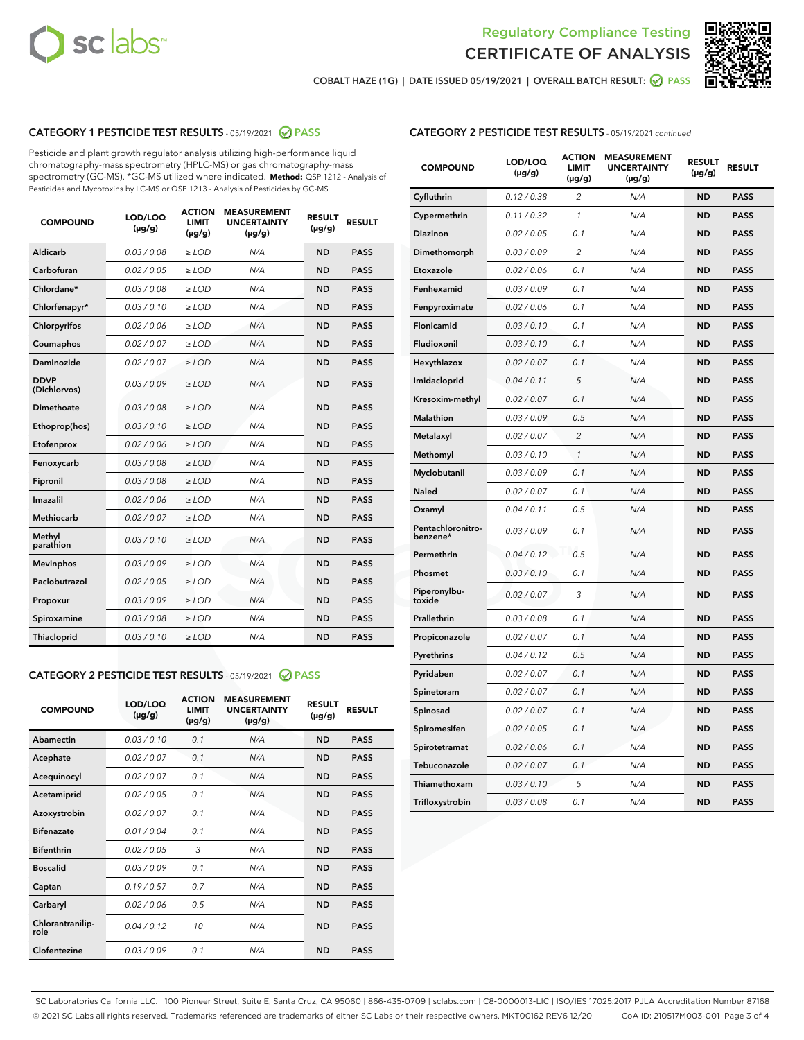



COBALT HAZE (1G) | DATE ISSUED 05/19/2021 | OVERALL BATCH RESULT: ● PASS

## CATEGORY 1 PESTICIDE TEST RESULTS - 05/19/2021 2 PASS

Pesticide and plant growth regulator analysis utilizing high-performance liquid chromatography-mass spectrometry (HPLC-MS) or gas chromatography-mass spectrometry (GC-MS). \*GC-MS utilized where indicated. **Method:** QSP 1212 - Analysis of Pesticides and Mycotoxins by LC-MS or QSP 1213 - Analysis of Pesticides by GC-MS

| <b>COMPOUND</b>             | LOD/LOQ<br>$(\mu g/g)$ | <b>ACTION</b><br><b>LIMIT</b><br>$(\mu g/g)$ | <b>MEASUREMENT</b><br><b>UNCERTAINTY</b><br>$(\mu g/g)$ | <b>RESULT</b><br>$(\mu g/g)$ | <b>RESULT</b> |
|-----------------------------|------------------------|----------------------------------------------|---------------------------------------------------------|------------------------------|---------------|
| Aldicarb                    | 0.03 / 0.08            | $\ge$ LOD                                    | N/A                                                     | <b>ND</b>                    | <b>PASS</b>   |
| Carbofuran                  | 0.02/0.05              | $>$ LOD                                      | N/A                                                     | <b>ND</b>                    | <b>PASS</b>   |
| Chlordane*                  | 0.03 / 0.08            | $\ge$ LOD                                    | N/A                                                     | <b>ND</b>                    | <b>PASS</b>   |
| Chlorfenapyr*               | 0.03/0.10              | $\ge$ LOD                                    | N/A                                                     | <b>ND</b>                    | <b>PASS</b>   |
| Chlorpyrifos                | 0.02 / 0.06            | $\ge$ LOD                                    | N/A                                                     | <b>ND</b>                    | <b>PASS</b>   |
| Coumaphos                   | 0.02 / 0.07            | $>$ LOD                                      | N/A                                                     | <b>ND</b>                    | <b>PASS</b>   |
| Daminozide                  | 0.02 / 0.07            | $\ge$ LOD                                    | N/A                                                     | <b>ND</b>                    | <b>PASS</b>   |
| <b>DDVP</b><br>(Dichlorvos) | 0.03/0.09              | $\ge$ LOD                                    | N/A                                                     | <b>ND</b>                    | <b>PASS</b>   |
| <b>Dimethoate</b>           | 0.03/0.08              | $\ge$ LOD                                    | N/A                                                     | <b>ND</b>                    | <b>PASS</b>   |
| Ethoprop(hos)               | 0.03/0.10              | $\ge$ LOD                                    | N/A                                                     | <b>ND</b>                    | <b>PASS</b>   |
| Etofenprox                  | 0.02/0.06              | $>$ LOD                                      | N/A                                                     | <b>ND</b>                    | <b>PASS</b>   |
| Fenoxycarb                  | 0.03 / 0.08            | $\ge$ LOD                                    | N/A                                                     | <b>ND</b>                    | <b>PASS</b>   |
| Fipronil                    | 0.03 / 0.08            | $>$ LOD                                      | N/A                                                     | <b>ND</b>                    | <b>PASS</b>   |
| Imazalil                    | 0.02 / 0.06            | $\ge$ LOD                                    | N/A                                                     | <b>ND</b>                    | <b>PASS</b>   |
| <b>Methiocarb</b>           | 0.02 / 0.07            | $\ge$ LOD                                    | N/A                                                     | <b>ND</b>                    | <b>PASS</b>   |
| Methyl<br>parathion         | 0.03/0.10              | $\ge$ LOD                                    | N/A                                                     | <b>ND</b>                    | <b>PASS</b>   |
| <b>Mevinphos</b>            | 0.03/0.09              | $>$ LOD                                      | N/A                                                     | <b>ND</b>                    | <b>PASS</b>   |
| Paclobutrazol               | 0.02 / 0.05            | $\ge$ LOD                                    | N/A                                                     | <b>ND</b>                    | <b>PASS</b>   |
| Propoxur                    | 0.03 / 0.09            | $\ge$ LOD                                    | N/A                                                     | <b>ND</b>                    | <b>PASS</b>   |
| Spiroxamine                 | 0.03 / 0.08            | $\ge$ LOD                                    | N/A                                                     | <b>ND</b>                    | <b>PASS</b>   |
| <b>Thiacloprid</b>          | 0.03/0.10              | $\ge$ LOD                                    | N/A                                                     | <b>ND</b>                    | <b>PASS</b>   |

## CATEGORY 2 PESTICIDE TEST RESULTS - 05/19/2021 @ PASS

| <b>COMPOUND</b>          | LOD/LOO<br>$(\mu g/g)$ | <b>ACTION</b><br>LIMIT<br>$(\mu g/g)$ | <b>MEASUREMENT</b><br><b>UNCERTAINTY</b><br>$(\mu g/g)$ | <b>RESULT</b><br>$(\mu g/g)$ | <b>RESULT</b> |
|--------------------------|------------------------|---------------------------------------|---------------------------------------------------------|------------------------------|---------------|
| Abamectin                | 0.03/0.10              | 0.1                                   | N/A                                                     | <b>ND</b>                    | <b>PASS</b>   |
| Acephate                 | 0.02/0.07              | 0.1                                   | N/A                                                     | <b>ND</b>                    | <b>PASS</b>   |
| Acequinocyl              | 0.02/0.07              | 0.1                                   | N/A                                                     | <b>ND</b>                    | <b>PASS</b>   |
| Acetamiprid              | 0.02/0.05              | 0.1                                   | N/A                                                     | <b>ND</b>                    | <b>PASS</b>   |
| Azoxystrobin             | 0.02/0.07              | 0.1                                   | N/A                                                     | <b>ND</b>                    | <b>PASS</b>   |
| <b>Bifenazate</b>        | 0.01/0.04              | 0.1                                   | N/A                                                     | <b>ND</b>                    | <b>PASS</b>   |
| <b>Bifenthrin</b>        | 0.02 / 0.05            | 3                                     | N/A                                                     | <b>ND</b>                    | <b>PASS</b>   |
| <b>Boscalid</b>          | 0.03/0.09              | 0.1                                   | N/A                                                     | <b>ND</b>                    | <b>PASS</b>   |
| Captan                   | 0.19/0.57              | 0.7                                   | N/A                                                     | <b>ND</b>                    | <b>PASS</b>   |
| Carbaryl                 | 0.02/0.06              | 0.5                                   | N/A                                                     | <b>ND</b>                    | <b>PASS</b>   |
| Chlorantranilip-<br>role | 0.04/0.12              | 10                                    | N/A                                                     | <b>ND</b>                    | <b>PASS</b>   |
| Clofentezine             | 0.03/0.09              | 0.1                                   | N/A                                                     | <b>ND</b>                    | <b>PASS</b>   |

## CATEGORY 2 PESTICIDE TEST RESULTS - 05/19/2021 continued

| <b>COMPOUND</b>               | LOD/LOQ<br>(µg/g) | <b>ACTION</b><br>LIMIT<br>$(\mu g/g)$ | <b>MEASUREMENT</b><br><b>UNCERTAINTY</b><br>$(\mu g/g)$ | <b>RESULT</b><br>(µg/g) | <b>RESULT</b> |
|-------------------------------|-------------------|---------------------------------------|---------------------------------------------------------|-------------------------|---------------|
| Cyfluthrin                    | 0.12 / 0.38       | 2                                     | N/A                                                     | <b>ND</b>               | <b>PASS</b>   |
| Cypermethrin                  | 0.11 / 0.32       | 1                                     | N/A                                                     | ND                      | <b>PASS</b>   |
| Diazinon                      | 0.02 / 0.05       | 0.1                                   | N/A                                                     | ND                      | PASS          |
| Dimethomorph                  | 0.03 / 0.09       | $\overline{2}$                        | N/A                                                     | <b>ND</b>               | <b>PASS</b>   |
| Etoxazole                     | 0.02 / 0.06       | 0.1                                   | N/A                                                     | <b>ND</b>               | <b>PASS</b>   |
| Fenhexamid                    | 0.03 / 0.09       | 0.1                                   | N/A                                                     | ND                      | <b>PASS</b>   |
| Fenpyroximate                 | 0.02 / 0.06       | 0.1                                   | N/A                                                     | <b>ND</b>               | <b>PASS</b>   |
| Flonicamid                    | 0.03 / 0.10       | 0.1                                   | N/A                                                     | <b>ND</b>               | <b>PASS</b>   |
| Fludioxonil                   | 0.03 / 0.10       | 0.1                                   | N/A                                                     | <b>ND</b>               | <b>PASS</b>   |
| Hexythiazox                   | 0.02 / 0.07       | 0.1                                   | N/A                                                     | <b>ND</b>               | <b>PASS</b>   |
| Imidacloprid                  | 0.04 / 0.11       | 5                                     | N/A                                                     | <b>ND</b>               | <b>PASS</b>   |
| Kresoxim-methyl               | 0.02 / 0.07       | 0.1                                   | N/A                                                     | <b>ND</b>               | <b>PASS</b>   |
| Malathion                     | 0.03 / 0.09       | 0.5                                   | N/A                                                     | <b>ND</b>               | <b>PASS</b>   |
| Metalaxyl                     | 0.02 / 0.07       | $\overline{c}$                        | N/A                                                     | <b>ND</b>               | <b>PASS</b>   |
| Methomyl                      | 0.03 / 0.10       | $\mathcal{I}$                         | N/A                                                     | <b>ND</b>               | PASS          |
| Myclobutanil                  | 0.03 / 0.09       | 0.1                                   | N/A                                                     | <b>ND</b>               | <b>PASS</b>   |
| Naled                         | 0.02 / 0.07       | 0.1                                   | N/A                                                     | <b>ND</b>               | <b>PASS</b>   |
| Oxamyl                        | 0.04 / 0.11       | 0.5                                   | N/A                                                     | ND                      | <b>PASS</b>   |
| Pentachloronitro-<br>benzene* | 0.03 / 0.09       | 0.1                                   | N/A                                                     | <b>ND</b>               | <b>PASS</b>   |
| Permethrin                    | 0.04 / 0.12       | 0.5                                   | N/A                                                     | <b>ND</b>               | <b>PASS</b>   |
| Phosmet                       | 0.03 / 0.10       | 0.1                                   | N/A                                                     | <b>ND</b>               | PASS          |
| Piperonylbu-<br>toxide        | 0.02 / 0.07       | 3                                     | N/A                                                     | <b>ND</b>               | <b>PASS</b>   |
| Prallethrin                   | 0.03 / 0.08       | 0.1                                   | N/A                                                     | <b>ND</b>               | <b>PASS</b>   |
| Propiconazole                 | 0.02 / 0.07       | 0.1                                   | N/A                                                     | <b>ND</b>               | <b>PASS</b>   |
| Pyrethrins                    | 0.04 / 0.12       | 0.5                                   | N/A                                                     | ND                      | PASS          |
| Pyridaben                     | 0.02 / 0.07       | 0.1                                   | N/A                                                     | <b>ND</b>               | <b>PASS</b>   |
| Spinetoram                    | 0.02 / 0.07       | 0.1                                   | N/A                                                     | <b>ND</b>               | <b>PASS</b>   |
| Spinosad                      | 0.02 / 0.07       | 0.1                                   | N/A                                                     | <b>ND</b>               | PASS          |
| Spiromesifen                  | 0.02 / 0.05       | 0.1                                   | N/A                                                     | ND                      | PASS          |
| Spirotetramat                 | 0.02 / 0.06       | 0.1                                   | N/A                                                     | <b>ND</b>               | <b>PASS</b>   |
| Tebuconazole                  | 0.02 / 0.07       | 0.1                                   | N/A                                                     | ND                      | <b>PASS</b>   |
| Thiamethoxam                  | 0.03 / 0.10       | 5                                     | N/A                                                     | ND                      | <b>PASS</b>   |
| Trifloxystrobin               | 0.03 / 0.08       | 0.1                                   | N/A                                                     | <b>ND</b>               | <b>PASS</b>   |

SC Laboratories California LLC. | 100 Pioneer Street, Suite E, Santa Cruz, CA 95060 | 866-435-0709 | sclabs.com | C8-0000013-LIC | ISO/IES 17025:2017 PJLA Accreditation Number 87168 © 2021 SC Labs all rights reserved. Trademarks referenced are trademarks of either SC Labs or their respective owners. MKT00162 REV6 12/20 CoA ID: 210517M003-001 Page 3 of 4